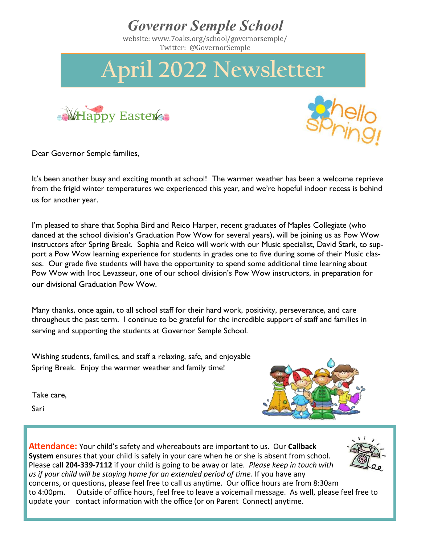

Dear Governor Semple families,

It's been another busy and exciting month at school! The warmer weather has been a welcome reprieve from the frigid winter temperatures we experienced this year, and we're hopeful indoor recess is behind us for another year.

I'm pleased to share that Sophia Bird and Reico Harper, recent graduates of Maples Collegiate (who danced at the school division's Graduation Pow Wow for several years), will be joining us as Pow Wow instructors after Spring Break. Sophia and Reico will work with our Music specialist, David Stark, to support a Pow Wow learning experience for students in grades one to five during some of their Music classes. Our grade five students will have the opportunity to spend some additional time learning about Pow Wow with Iroc Levasseur, one of our school division's Pow Wow instructors, in preparation for our divisional Graduation Pow Wow.

Many thanks, once again, to all school staff for their hard work, positivity, perseverance, and care throughout the past term. I continue to be grateful for the incredible support of staff and families in serving and supporting the students at Governor Semple School.

Wishing students, families, and staff a relaxing, safe, and enjoyable Spring Break. Enjoy the warmer weather and family time!

Take care,

Sari



**Attendance:** Your child's safety and whereabouts are important to us. Our **Callback System** ensures that your child is safely in your care when he or she is absent from school. Please call **204-339-7112** if your child is going to be away or late*. Please keep in touch with us if your child will be staying home for an extended period of time.* If you have any concerns, or questions, please feel free to call us anytime. Our office hours are from 8:30am to 4:00pm. Outside of office hours, feel free to leave a voicemail message. As well, please feel free to update your contact information with the office (or on Parent Connect) anytime.